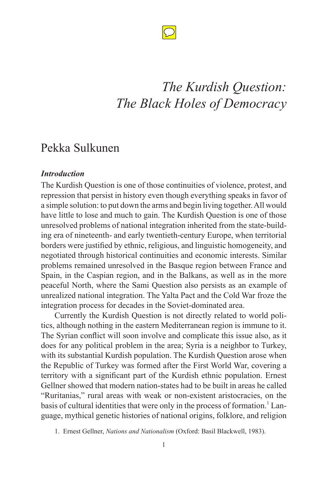

# *The Kurdish Question: The Black Holes of Democracy*

## Pekka Sulkunen

#### *Introduction*

The Kurdish Question is one of those continuities of violence, protest, and repression that persist in history even though everything speaks in favor of a simple solution: to put down the arms and begin living together. All would have little to lose and much to gain. The Kurdish Question is one of those unresolved problems of national integration inherited from the state-building era of nineteenth- and early twentieth-century Europe, when territorial borders were justified by ethnic, religious, and linguistic homogeneity, and negotiated through historical continuities and economic interests. Similar problems remained unresolved in the Basque region between France and Spain, in the Caspian region, and in the Balkans, as well as in the more peaceful North, where the Sami Question also persists as an example of unrealized national integration. The Yalta Pact and the Cold War froze the integration process for decades in the Soviet-dominated area.

Currently the Kurdish Question is not directly related to world politics, although nothing in the eastern Mediterranean region is immune to it. The Syrian conflict will soon involve and complicate this issue also, as it does for any political problem in the area; Syria is a neighbor to Turkey, with its substantial Kurdish population. The Kurdish Question arose when the Republic of Turkey was formed after the First World War, covering a territory with a significant part of the Kurdish ethnic population. Ernest Gellner showed that modern nation-states had to be built in areas he called "Ruritanias," rural areas with weak or non-existent aristocracies, on the basis of cultural identities that were only in the process of formation.<sup>1</sup> Language, mythical genetic histories of national origins, folklore, and religion

1. Ernest Gellner, *Nations and Nationalism* (Oxford: Basil Blackwell, 1983).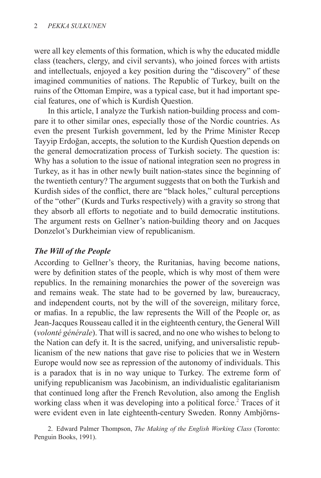were all key elements of this formation, which is why the educated middle class (teachers, clergy, and civil servants), who joined forces with artists and intellectuals, enjoyed a key position during the "discovery" of these imagined communities of nations. The Republic of Turkey, built on the ruins of the Ottoman Empire, was a typical case, but it had important special features, one of which is Kurdish Question.

In this article, I analyze the Turkish nation-building process and compare it to other similar ones, especially those of the Nordic countries. As even the present Turkish government, led by the Prime Minister Recep Tayyip Erdoğan, accepts, the solution to the Kurdish Question depends on the general democratization process of Turkish society. The question is: Why has a solution to the issue of national integration seen no progress in Turkey, as it has in other newly built nation-states since the beginning of the twentieth century? The argument suggests that on both the Turkish and Kurdish sides of the conflict, there are "black holes," cultural perceptions of the "other" (Kurds and Turks respectively) with a gravity so strong that they absorb all efforts to negotiate and to build democratic institutions. The argument rests on Gellner's nation-building theory and on Jacques Donzelot's Durkheimian view of republicanism.

## *The Will of the People*

According to Gellner's theory, the Ruritanias, having become nations, were by definition states of the people, which is why most of them were republics. In the remaining monarchies the power of the sovereign was and remains weak. The state had to be governed by law, bureaucracy, and independent courts, not by the will of the sovereign, military force, or mafias. In a republic, the law represents the Will of the People or, as Jean-Jacques Rousseau called it in the eighteenth century, the General Will (*volonté générale*). That will is sacred, and no one who wishes to belong to the Nation can defy it. It is the sacred, unifying, and universalistic republicanism of the new nations that gave rise to policies that we in Western Europe would now see as repression of the autonomy of individuals. This is a paradox that is in no way unique to Turkey. The extreme form of unifying republicanism was Jacobinism, an individualistic egalitarianism that continued long after the French Revolution, also among the English working class when it was developing into a political force.<sup>2</sup> Traces of it were evident even in late eighteenth-century Sweden. Ronny Ambjörns-

2. Edward Palmer Thompson, *The Making of the English Working Class* (Toronto: Penguin Books, 1991).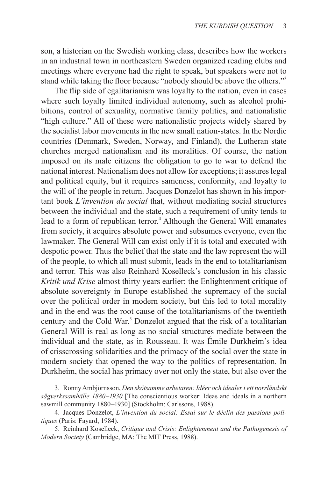son, a historian on the Swedish working class, describes how the workers in an industrial town in northeastern Sweden organized reading clubs and meetings where everyone had the right to speak, but speakers were not to stand while taking the floor because "nobody should be above the others."<sup>3</sup>

The flip side of egalitarianism was loyalty to the nation, even in cases where such loyalty limited individual autonomy, such as alcohol prohibitions, control of sexuality, normative family politics, and nationalistic "high culture." All of these were nationalistic projects widely shared by the socialist labor movements in the new small nation-states. In the Nordic countries (Denmark, Sweden, Norway, and Finland), the Lutheran state churches merged nationalism and its moralities. Of course, the nation imposed on its male citizens the obligation to go to war to defend the national interest. Nationalism does not allow for exceptions; it assures legal and political equity, but it requires sameness, conformity, and loyalty to the will of the people in return. Jacques Donzelot has shown in his important book *L'invention du social* that, without mediating social structures between the individual and the state, such a requirement of unity tends to lead to a form of republican terror.<sup>4</sup> Although the General Will emanates from society, it acquires absolute power and subsumes everyone, even the lawmaker. The General Will can exist only if it is total and executed with despotic power. Thus the belief that the state and the law represent the will of the people, to which all must submit, leads in the end to totalitarianism and terror. This was also Reinhard Koselleck's conclusion in his classic *Kritik und Krise* almost thirty years earlier: the Enlightenment critique of absolute sovereignty in Europe established the supremacy of the social over the political order in modern society, but this led to total morality and in the end was the root cause of the totalitarianisms of the twentieth century and the Cold War.<sup>5</sup> Donzelot argued that the risk of a totalitarian General Will is real as long as no social structures mediate between the individual and the state, as in Rousseau. It was Émile Durkheim's idea of crisscrossing solidarities and the primacy of the social over the state in modern society that opened the way to the politics of representation. In Durkheim, the social has primacy over not only the state, but also over the

3. Ronny Ambjörnsson, *Den skötsamme arbetaren: Idéer och idealer i ett norrländskt sågverkssamhälle 1880–1930* [The conscientious worker: Ideas and ideals in a northern sawmill community 1880–1930] (Stockholm: Carlssons, 1988).

4. Jacques Donzelot, *L'invention du social: Essai sur le déclin des passions politiques* (Paris: Fayard, 1984).

5. Reinhard Koselleck, *Critique and Crisis: Enlightenment and the Pathogenesis of Modern Society* (Cambridge, MA: The MIT Press, 1988).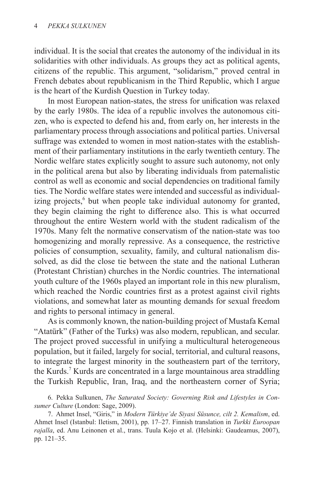individual. It is the social that creates the autonomy of the individual in its solidarities with other individuals. As groups they act as political agents, citizens of the republic. This argument, "solidarism," proved central in French debates about republicanism in the Third Republic, which I argue is the heart of the Kurdish Question in Turkey today.

In most European nation-states, the stress for unification was relaxed by the early 1980s. The idea of a republic involves the autonomous citizen, who is expected to defend his and, from early on, her interests in the parliamentary process through associations and political parties. Universal suffrage was extended to women in most nation-states with the establishment of their parliamentary institutions in the early twentieth century. The Nordic welfare states explicitly sought to assure such autonomy, not only in the political arena but also by liberating individuals from paternalistic control as well as economic and social dependencies on traditional family ties. The Nordic welfare states were intended and successful as individualizing projects,<sup>6</sup> but when people take individual autonomy for granted, they begin claiming the right to difference also. This is what occurred throughout the entire Western world with the student radicalism of the 1970s. Many felt the normative conservatism of the nation-state was too homogenizing and morally repressive. As a consequence, the restrictive policies of consumption, sexuality, family, and cultural nationalism dissolved, as did the close tie between the state and the national Lutheran (Protestant Christian) churches in the Nordic countries. The international youth culture of the 1960s played an important role in this new pluralism, which reached the Nordic countries first as a protest against civil rights violations, and somewhat later as mounting demands for sexual freedom and rights to personal intimacy in general.

As is commonly known, the nation-building project of Mustafa Kemal "Atatürk" (Father of the Turks) was also modern, republican, and secular. The project proved successful in unifying a multicultural heterogeneous population, but it failed, largely for social, territorial, and cultural reasons, to integrate the largest minority in the southeastern part of the territory, the Kurds.<sup>7</sup> Kurds are concentrated in a large mountainous area straddling the Turkish Republic, Iran, Iraq, and the northeastern corner of Syria;

<sup>6.</sup> Pekka Sulkunen, *The Saturated Society: Governing Risk and Lifestyles in Consumer Culture* (London: Sage, 2009).

<sup>7.</sup> Ahmet Insel, "Giris," in *Modern Türkiye'de Siyasi Süsunce, cilt 2. Kemalism*, ed. Ahmet Insel (Istanbul: Iletism, 2001), pp. 17–27. Finnish translation in *Turkki Euroopan rajalla*, ed. Anu Leinonen et al., trans. Tuula Kojo et al. (Helsinki: Gaudeamus, 2007), pp. 121–35.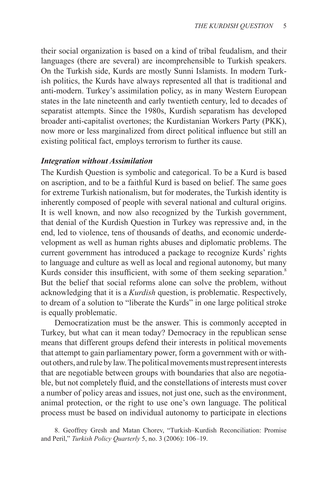their social organization is based on a kind of tribal feudalism, and their languages (there are several) are incomprehensible to Turkish speakers. On the Turkish side, Kurds are mostly Sunni Islamists. In modern Turkish politics, the Kurds have always represented all that is traditional and anti-modern. Turkey's assimilation policy, as in many Western European states in the late nineteenth and early twentieth century, led to decades of separatist attempts. Since the 1980s, Kurdish separatism has developed broader anti-capitalist overtones; the Kurdistanian Workers Party (PKK), now more or less marginalized from direct political influence but still an existing political fact, employs terrorism to further its cause.

#### *Integration without Assimilation*

The Kurdish Question is symbolic and categorical. To be a Kurd is based on ascription, and to be a faithful Kurd is based on belief. The same goes for extreme Turkish nationalism, but for moderates, the Turkish identity is inherently composed of people with several national and cultural origins. It is well known, and now also recognized by the Turkish government, that denial of the Kurdish Question in Turkey was repressive and, in the end, led to violence, tens of thousands of deaths, and economic underdevelopment as well as human rights abuses and diplomatic problems. The current government has introduced a package to recognize Kurds' rights to language and culture as well as local and regional autonomy, but many Kurds consider this insufficient, with some of them seeking separation.<sup>8</sup> But the belief that social reforms alone can solve the problem, without acknowledging that it is a *Kurdish* question, is problematic. Respectively, to dream of a solution to "liberate the Kurds" in one large political stroke is equally problematic.

Democratization must be the answer. This is commonly accepted in Turkey, but what can it mean today? Democracy in the republican sense means that different groups defend their interests in political movements that attempt to gain parliamentary power, form a government with or without others, and rule by law. The political movements must represent interests that are negotiable between groups with boundaries that also are negotiable, but not completely fluid, and the constellations of interests must cover a number of policy areas and issues, not just one, such as the environment, animal protection, or the right to use one's own language. The political process must be based on individual autonomy to participate in elections

8. Geoffrey Gresh and Matan Chorev, "Turkish–Kurdish Reconciliation: Promise and Peril," *Turkish Policy Quarterly* 5, no. 3 (2006): 106–19.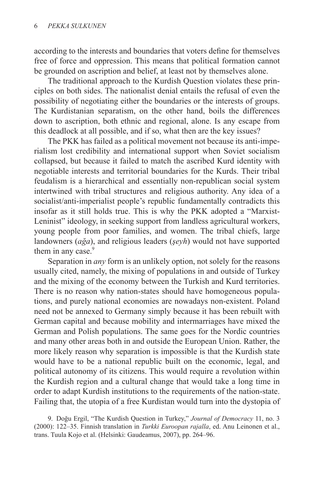according to the interests and boundaries that voters define for themselves free of force and oppression. This means that political formation cannot be grounded on ascription and belief, at least not by themselves alone.

The traditional approach to the Kurdish Question violates these principles on both sides. The nationalist denial entails the refusal of even the possibility of negotiating either the boundaries or the interests of groups. The Kurdistanian separatism, on the other hand, boils the differences down to ascription, both ethnic and regional, alone. Is any escape from this deadlock at all possible, and if so, what then are the key issues?

The PKK has failed as a political movement not because its anti-imperialism lost credibility and international support when Soviet socialism collapsed, but because it failed to match the ascribed Kurd identity with negotiable interests and territorial boundaries for the Kurds. Their tribal feudalism is a hierarchical and essentially non-republican social system intertwined with tribal structures and religious authority. Any idea of a socialist/anti-imperialist people's republic fundamentally contradicts this insofar as it still holds true. This is why the PKK adopted a "Marxist-Leninist" ideology, in seeking support from landless agricultural workers, young people from poor families, and women. The tribal chiefs, large landowners (*ağa*), and religious leaders (*şeyh*) would not have supported them in any case.<sup>9</sup>

Separation in *any* form is an unlikely option, not solely for the reasons usually cited, namely, the mixing of populations in and outside of Turkey and the mixing of the economy between the Turkish and Kurd territories. There is no reason why nation-states should have homogeneous populations, and purely national economies are nowadays non-existent. Poland need not be annexed to Germany simply because it has been rebuilt with German capital and because mobility and intermarriages have mixed the German and Polish populations. The same goes for the Nordic countries and many other areas both in and outside the European Union. Rather, the more likely reason why separation is impossible is that the Kurdish state would have to be a national republic built on the economic, legal, and political autonomy of its citizens. This would require a revolution within the Kurdish region and a cultural change that would take a long time in order to adapt Kurdish institutions to the requirements of the nation-state. Failing that, the utopia of a free Kurdistan would turn into the dystopia of

<sup>9.</sup> Doğu Ergil, "The Kurdish Question in Turkey," *Journal of Democracy* 11, no. 3 (2000): 122–35. Finnish translation in *Turkki Euroopan rajalla*, ed. Anu Leinonen et al., trans. Tuula Kojo et al. (Helsinki: Gaudeamus, 2007), pp. 264–96.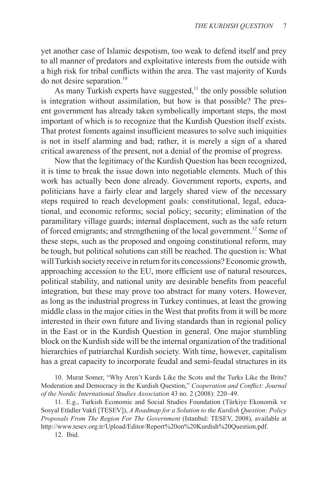yet another case of Islamic despotism, too weak to defend itself and prey to all manner of predators and exploitative interests from the outside with a high risk for tribal conflicts within the area. The vast majority of Kurds do not desire separation.10

As many Turkish experts have suggested, $11$  the only possible solution is integration without assimilation, but how is that possible? The present government has already taken symbolically important steps, the most important of which is to recognize that the Kurdish Question itself exists. That protest foments against insufficient measures to solve such iniquities is not in itself alarming and bad; rather, it is merely a sign of a shared critical awareness of the present, not a denial of the promise of progress.

Now that the legitimacy of the Kurdish Question has been recognized, it is time to break the issue down into negotiable elements. Much of this work has actually been done already. Government reports, experts, and politicians have a fairly clear and largely shared view of the necessary steps required to reach development goals: constitutional, legal, educational, and economic reforms; social policy; security; elimination of the paramilitary village guards; internal displacement, such as the safe return of forced emigrants; and strengthening of the local government.12 Some of these steps, such as the proposed and ongoing constitutional reform, may be tough, but political solutions can still be reached. The question is: What will Turkish society receive in return for its concessions? Economic growth, approaching accession to the EU, more efficient use of natural resources, political stability, and national unity are desirable benefits from peaceful integration, but these may prove too abstract for many voters. However, as long as the industrial progress in Turkey continues, at least the growing middle class in the major cities in the West that profits from it will be more interested in their own future and living standards than in regional policy in the East or in the Kurdish Question in general. One major stumbling block on the Kurdish side will be the internal organization of the traditional hierarchies of patriarchal Kurdish society. With time, however, capitalism has a great capacity to incorporate feudal and semi-feudal structures in its

10. Murat Somer, "Why Aren't Kurds Like the Scots and the Turks Like the Brits? Moderation and Democracy in the Kurdish Question," *Cooperation and Conflict: Journal of the Nordic International Studies Association* 43 no. 2 (2008): 220–49.

11. E.g., Turkish Economic and Social Studies Foundation (Türkiye Ekonomik ve Sosyal Etüdler Vakfi [TESEV]), *A Roadmap for a Solution to the Kurdish Question: Policy Proposals From The Region For The Government* (Istanbul: TESEV, 2008), available at http://www.tesev.org.tr/Upload/Editor/Report%20on%20Kurdish%20Question.pdf.

12. Ibid.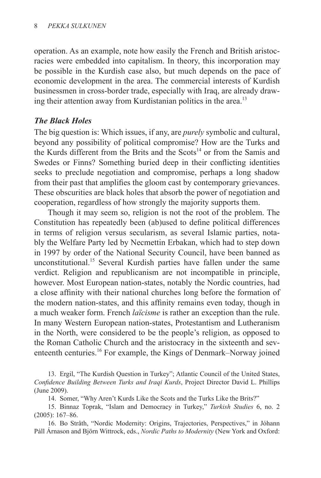operation. As an example, note how easily the French and British aristocracies were embedded into capitalism. In theory, this incorporation may be possible in the Kurdish case also, but much depends on the pace of economic development in the area. The commercial interests of Kurdish businessmen in cross-border trade, especially with Iraq, are already drawing their attention away from Kurdistanian politics in the area.<sup>13</sup>

### *The Black Holes*

The big question is: Which issues, if any, are *purely* symbolic and cultural, beyond any possibility of political compromise? How are the Turks and the Kurds different from the Brits and the Scots<sup>14</sup> or from the Samis and Swedes or Finns? Something buried deep in their conflicting identities seeks to preclude negotiation and compromise, perhaps a long shadow from their past that amplifies the gloom cast by contemporary grievances. These obscurities are black holes that absorb the power of negotiation and cooperation, regardless of how strongly the majority supports them.

Though it may seem so, religion is not the root of the problem. The Constitution has repeatedly been (ab)used to define political differences in terms of religion versus secularism, as several Islamic parties, notably the Welfare Party led by Necmettin Erbakan, which had to step down in 1997 by order of the National Security Council, have been banned as unconstitutional.15 Several Kurdish parties have fallen under the same verdict. Religion and republicanism are not incompatible in principle, however. Most European nation-states, notably the Nordic countries, had a close affinity with their national churches long before the formation of the modern nation-states, and this affinity remains even today, though in a much weaker form. French *laïcisme* is rather an exception than the rule. In many Western European nation-states, Protestantism and Lutheranism in the North, were considered to be the people's religion, as opposed to the Roman Catholic Church and the aristocracy in the sixteenth and seventeenth centuries.16 For example, the Kings of Denmark–Norway joined

13. Ergil, "The Kurdish Question in Turkey"; Atlantic Council of the United States, *Confidence Building Between Turks and Iraqi Kurds*, Project Director David L. Phillips (June 2009).

14. Somer, "Why Aren't Kurds Like the Scots and the Turks Like the Brits?"

15. Binnaz Toprak, "Islam and Democracy in Turkey," *Turkish Studies* 6, no. 2 (2005): 167–86.

16. Bo Stråth, "Nordic Modernity: Origins, Trajectories, Perspectives," in Jóhann Páll Árnason and Björn Wittrock, eds., *Nordic Paths to Modernity* (New York and Oxford: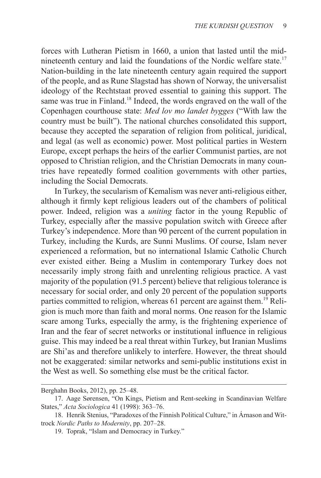forces with Lutheran Pietism in 1660, a union that lasted until the midnineteenth century and laid the foundations of the Nordic welfare state.<sup>17</sup> Nation-building in the late nineteenth century again required the support of the people, and as Rune Slagstad has shown of Norway, the universalist ideology of the Rechtstaat proved essential to gaining this support. The same was true in Finland.18 Indeed, the words engraved on the wall of the Copenhagen courthouse state: *Med lov mo landet bygges* ("With law the country must be built"). The national churches consolidated this support, because they accepted the separation of religion from political, juridical, and legal (as well as economic) power. Most political parties in Western Europe, except perhaps the heirs of the earlier Communist parties, are not opposed to Christian religion, and the Christian Democrats in many countries have repeatedly formed coalition governments with other parties, including the Social Democrats.

In Turkey, the secularism of Kemalism was never anti-religious either, although it firmly kept religious leaders out of the chambers of political power. Indeed, religion was a *uniting* factor in the young Republic of Turkey, especially after the massive population switch with Greece after Turkey's independence. More than 90 percent of the current population in Turkey, including the Kurds, are Sunni Muslims. Of course, Islam never experienced a reformation, but no international Islamic Catholic Church ever existed either. Being a Muslim in contemporary Turkey does not necessarily imply strong faith and unrelenting religious practice. A vast majority of the population (91.5 percent) believe that religious tolerance is necessary for social order, and only 20 percent of the population supports parties committed to religion, whereas 61 percent are against them.<sup>19</sup> Religion is much more than faith and moral norms. One reason for the Islamic scare among Turks, especially the army, is the frightening experience of Iran and the fear of secret networks or institutional influence in religious guise. This may indeed be a real threat within Turkey, but Iranian Muslims are Shi'as and therefore unlikely to interfere. However, the threat should not be exaggerated: similar networks and semi-public institutions exist in the West as well. So something else must be the critical factor.

Berghahn Books, 2012), pp. 25–48.

<sup>17.</sup> Aage Sørensen, "On Kings, Pietism and Rent-seeking in Scandinavian Welfare States," *Acta Sociologica* 41 (1998): 363–76.

<sup>18.</sup> Henrik Stenius, "Paradoxes of the Finnish Political Culture," in Árnason and Wittrock *Nordic Paths to Modernity*, pp. 207–28.

<sup>19.</sup> Toprak, "Islam and Democracy in Turkey."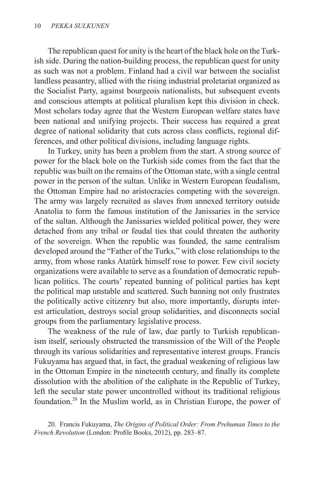The republican quest for unity is the heart of the black hole on the Turkish side. During the nation-building process, the republican quest for unity as such was not a problem. Finland had a civil war between the socialist landless peasantry, allied with the rising industrial proletariat organized as the Socialist Party, against bourgeois nationalists, but subsequent events and conscious attempts at political pluralism kept this division in check. Most scholars today agree that the Western European welfare states have been national and unifying projects. Their success has required a great degree of national solidarity that cuts across class conflicts, regional differences, and other political divisions, including language rights.

In Turkey, unity has been a problem from the start. A strong source of power for the black hole on the Turkish side comes from the fact that the republic was built on the remains of the Ottoman state, with a single central power in the person of the sultan. Unlike in Western European feudalism, the Ottoman Empire had no aristocracies competing with the sovereign. The army was largely recruited as slaves from annexed territory outside Anatolia to form the famous institution of the Janissaries in the service of the sultan. Although the Janissaries wielded political power, they were detached from any tribal or feudal ties that could threaten the authority of the sovereign. When the republic was founded, the same centralism developed around the "Father of the Turks," with close relationships to the army, from whose ranks Atatürk himself rose to power. Few civil society organizations were available to serve as a foundation of democratic republican politics. The courts' repeated banning of political parties has kept the political map unstable and scattered. Such banning not only frustrates the politically active citizenry but also, more importantly, disrupts interest articulation, destroys social group solidarities, and disconnects social groups from the parliamentary legislative process.

The weakness of the rule of law, due partly to Turkish republicanism itself, seriously obstructed the transmission of the Will of the People through its various solidarities and representative interest groups. Francis Fukuyama has argued that, in fact, the gradual weakening of religious law in the Ottoman Empire in the nineteenth century, and finally its complete dissolution with the abolition of the caliphate in the Republic of Turkey, left the secular state power uncontrolled without its traditional religious foundation.20 In the Muslim world, as in Christian Europe, the power of

<sup>20.</sup> Francis Fukuyama, *The Origins of Political Order: From Prehuman Times to the French Revolution* (London: Profile Books, 2012), pp. 283–87.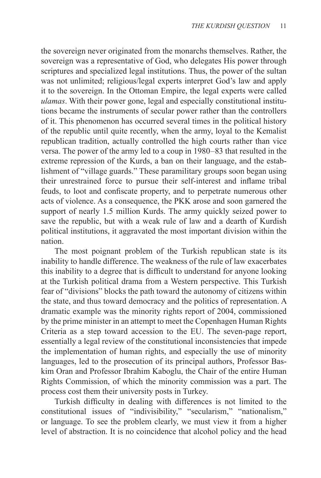the sovereign never originated from the monarchs themselves. Rather, the sovereign was a representative of God, who delegates His power through scriptures and specialized legal institutions. Thus, the power of the sultan was not unlimited; religious/legal experts interpret God's law and apply it to the sovereign. In the Ottoman Empire, the legal experts were called *ulamas*. With their power gone, legal and especially constitutional institutions became the instruments of secular power rather than the controllers of it. This phenomenon has occurred several times in the political history of the republic until quite recently, when the army, loyal to the Kemalist republican tradition, actually controlled the high courts rather than vice versa. The power of the army led to a coup in 1980–83 that resulted in the extreme repression of the Kurds, a ban on their language, and the establishment of "village guards." These paramilitary groups soon began using their unrestrained force to pursue their self-interest and inflame tribal feuds, to loot and confiscate property, and to perpetrate numerous other acts of violence. As a consequence, the PKK arose and soon garnered the support of nearly 1.5 million Kurds. The army quickly seized power to save the republic, but with a weak rule of law and a dearth of Kurdish political institutions, it aggravated the most important division within the nation.

The most poignant problem of the Turkish republican state is its inability to handle difference. The weakness of the rule of law exacerbates this inability to a degree that is difficult to understand for anyone looking at the Turkish political drama from a Western perspective. This Turkish fear of "divisions" blocks the path toward the autonomy of citizens within the state, and thus toward democracy and the politics of representation. A dramatic example was the minority rights report of 2004, commissioned by the prime minister in an attempt to meet the Copenhagen Human Rights Criteria as a step toward accession to the EU. The seven-page report, essentially a legal review of the constitutional inconsistencies that impede the implementation of human rights, and especially the use of minority languages, led to the prosecution of its principal authors, Professor Baskim Oran and Professor Ibrahim Kaboglu, the Chair of the entire Human Rights Commission, of which the minority commission was a part. The process cost them their university posts in Turkey.

Turkish difficulty in dealing with differences is not limited to the constitutional issues of "indivisibility," "secularism," "nationalism," or language. To see the problem clearly, we must view it from a higher level of abstraction. It is no coincidence that alcohol policy and the head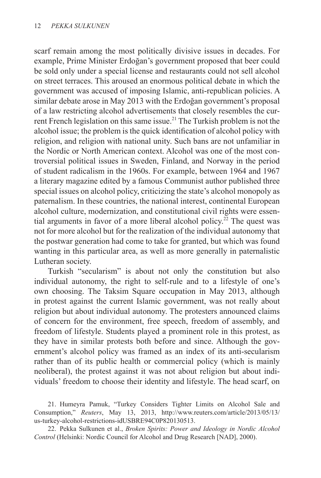scarf remain among the most politically divisive issues in decades. For example, Prime Minister Erdoğan's government proposed that beer could be sold only under a special license and restaurants could not sell alcohol on street terraces. This aroused an enormous political debate in which the government was accused of imposing Islamic, anti-republican policies. A similar debate arose in May 2013 with the Erdoğan government's proposal of a law restricting alcohol advertisements that closely resembles the current French legislation on this same issue.<sup>21</sup> The Turkish problem is not the alcohol issue; the problem is the quick identification of alcohol policy with religion, and religion with national unity. Such bans are not unfamiliar in the Nordic or North American context. Alcohol was one of the most controversial political issues in Sweden, Finland, and Norway in the period of student radicalism in the 1960s. For example, between 1964 and 1967 a literary magazine edited by a famous Communist author published three special issues on alcohol policy, criticizing the state's alcohol monopoly as paternalism. In these countries, the national interest, continental European alcohol culture, modernization, and constitutional civil rights were essential arguments in favor of a more liberal alcohol policy.<sup>22</sup> The quest was not for more alcohol but for the realization of the individual autonomy that the postwar generation had come to take for granted, but which was found wanting in this particular area, as well as more generally in paternalistic Lutheran society.

Turkish "secularism" is about not only the constitution but also individual autonomy, the right to self-rule and to a lifestyle of one's own choosing. The Taksim Square occupation in May 2013, although in protest against the current Islamic government, was not really about religion but about individual autonomy. The protesters announced claims of concern for the environment, free speech, freedom of assembly, and freedom of lifestyle. Students played a prominent role in this protest, as they have in similar protests both before and since. Although the government's alcohol policy was framed as an index of its anti-secularism rather than of its public health or commercial policy (which is mainly neoliberal), the protest against it was not about religion but about individuals' freedom to choose their identity and lifestyle. The head scarf, on

21. Humeyra Pamuk, "Turkey Considers Tighter Limits on Alcohol Sale and Consumption," *Reuters*, May 13, 2013, http://www.reuters.com/article/2013/05/13/ us-turkey-alcohol-restrictions-idUSBRE94C0P820130513.

22. Pekka Sulkunen et al., *Broken Spirits: Power and Ideology in Nordic Alcohol Control* (Helsinki: Nordic Council for Alcohol and Drug Research [NAD], 2000).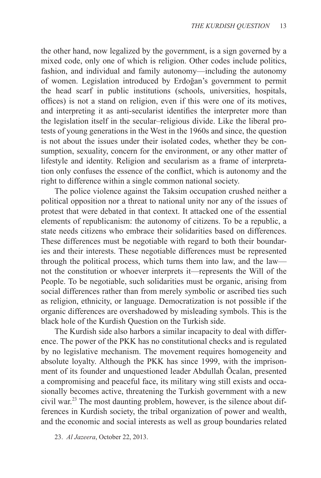the other hand, now legalized by the government, is a sign governed by a mixed code, only one of which is religion. Other codes include politics, fashion, and individual and family autonomy—including the autonomy of women. Legislation introduced by Erdoğan's government to permit the head scarf in public institutions (schools, universities, hospitals, offices) is not a stand on religion, even if this were one of its motives, and interpreting it as anti-secularist identifies the interpreter more than the legislation itself in the secular–religious divide. Like the liberal protests of young generations in the West in the 1960s and since, the question is not about the issues under their isolated codes, whether they be consumption, sexuality, concern for the environment, or any other matter of lifestyle and identity. Religion and secularism as a frame of interpretation only confuses the essence of the conflict, which is autonomy and the right to difference within a single common national society.

The police violence against the Taksim occupation crushed neither a political opposition nor a threat to national unity nor any of the issues of protest that were debated in that context. It attacked one of the essential elements of republicanism: the autonomy of citizens. To be a republic, a state needs citizens who embrace their solidarities based on differences. These differences must be negotiable with regard to both their boundaries and their interests. These negotiable differences must be represented through the political process, which turns them into law, and the law not the constitution or whoever interprets it—represents the Will of the People. To be negotiable, such solidarities must be organic, arising from social differences rather than from merely symbolic or ascribed ties such as religion, ethnicity, or language. Democratization is not possible if the organic differences are overshadowed by misleading symbols. This is the black hole of the Kurdish Question on the Turkish side.

The Kurdish side also harbors a similar incapacity to deal with difference. The power of the PKK has no constitutional checks and is regulated by no legislative mechanism. The movement requires homogeneity and absolute loyalty. Although the PKK has since 1999, with the imprisonment of its founder and unquestioned leader Abdullah Öcalan, presented a compromising and peaceful face, its military wing still exists and occasionally becomes active, threatening the Turkish government with a new civil war.23 The most daunting problem, however, is the silence about differences in Kurdish society, the tribal organization of power and wealth, and the economic and social interests as well as group boundaries related

<sup>23.</sup> *Al Jazeera*, October 22, 2013.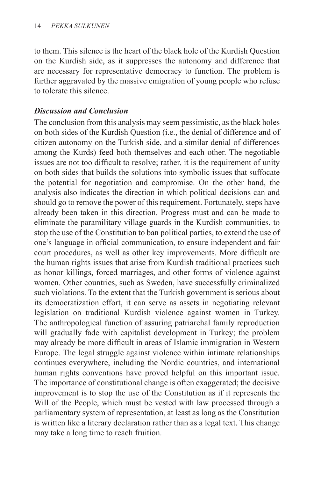to them. This silence is the heart of the black hole of the Kurdish Question on the Kurdish side, as it suppresses the autonomy and difference that are necessary for representative democracy to function. The problem is further aggravated by the massive emigration of young people who refuse to tolerate this silence.

#### *Discussion and Conclusion*

The conclusion from this analysis may seem pessimistic, as the black holes on both sides of the Kurdish Question (i.e., the denial of difference and of citizen autonomy on the Turkish side, and a similar denial of differences among the Kurds) feed both themselves and each other. The negotiable issues are not too difficult to resolve; rather, it is the requirement of unity on both sides that builds the solutions into symbolic issues that suffocate the potential for negotiation and compromise. On the other hand, the analysis also indicates the direction in which political decisions can and should go to remove the power of this requirement. Fortunately, steps have already been taken in this direction. Progress must and can be made to eliminate the paramilitary village guards in the Kurdish communities, to stop the use of the Constitution to ban political parties, to extend the use of one's language in official communication, to ensure independent and fair court procedures, as well as other key improvements. More difficult are the human rights issues that arise from Kurdish traditional practices such as honor killings, forced marriages, and other forms of violence against women. Other countries, such as Sweden, have successfully criminalized such violations. To the extent that the Turkish government is serious about its democratization effort, it can serve as assets in negotiating relevant legislation on traditional Kurdish violence against women in Turkey. The anthropological function of assuring patriarchal family reproduction will gradually fade with capitalist development in Turkey; the problem may already be more difficult in areas of Islamic immigration in Western Europe. The legal struggle against violence within intimate relationships continues everywhere, including the Nordic countries, and international human rights conventions have proved helpful on this important issue. The importance of constitutional change is often exaggerated; the decisive improvement is to stop the use of the Constitution as if it represents the Will of the People, which must be vested with law processed through a parliamentary system of representation, at least as long as the Constitution is written like a literary declaration rather than as a legal text. This change may take a long time to reach fruition.